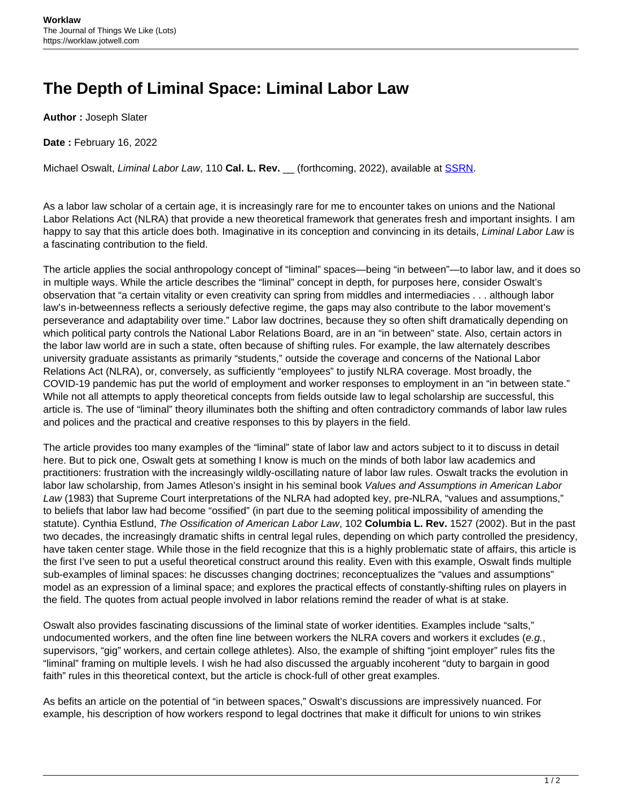## **The Depth of Liminal Space: Liminal Labor Law**

**Author :** Joseph Slater

**Date :** February 16, 2022

Michael Oswalt, Liminal Labor Law, 110 **Cal. L. Rev.** \_\_ (forthcoming, 2022), available at [SSRN](https://autopapers.ssrn.com/sol3/papers.cfm?abstract_id=3856671).

As a labor law scholar of a certain age, it is increasingly rare for me to encounter takes on unions and the National Labor Relations Act (NLRA) that provide a new theoretical framework that generates fresh and important insights. I am happy to say that this article does both. Imaginative in its conception and convincing in its details, Liminal Labor Law is a fascinating contribution to the field.

The article applies the social anthropology concept of "liminal" spaces—being "in between"—to labor law, and it does so in multiple ways. While the article describes the "liminal" concept in depth, for purposes here, consider Oswalt's observation that "a certain vitality or even creativity can spring from middles and intermediacies . . . although labor law's in-betweenness reflects a seriously defective regime, the gaps may also contribute to the labor movement's perseverance and adaptability over time." Labor law doctrines, because they so often shift dramatically depending on which political party controls the National Labor Relations Board, are in an "in between" state. Also, certain actors in the labor law world are in such a state, often because of shifting rules. For example, the law alternately describes university graduate assistants as primarily "students," outside the coverage and concerns of the National Labor Relations Act (NLRA), or, conversely, as sufficiently "employees" to justify NLRA coverage. Most broadly, the COVID-19 pandemic has put the world of employment and worker responses to employment in an "in between state." While not all attempts to apply theoretical concepts from fields outside law to legal scholarship are successful, this article is. The use of "liminal" theory illuminates both the shifting and often contradictory commands of labor law rules and polices and the practical and creative responses to this by players in the field.

The article provides too many examples of the "liminal" state of labor law and actors subject to it to discuss in detail here. But to pick one, Oswalt gets at something I know is much on the minds of both labor law academics and practitioners: frustration with the increasingly wildly-oscillating nature of labor law rules. Oswalt tracks the evolution in labor law scholarship, from James Atleson's insight in his seminal book Values and Assumptions in American Labor Law (1983) that Supreme Court interpretations of the NLRA had adopted key, pre-NLRA, "values and assumptions," to beliefs that labor law had become "ossified" (in part due to the seeming political impossibility of amending the statute). Cynthia Estlund, The Ossification of American Labor Law, 102 **Columbia L. Rev.** 1527 (2002). But in the past two decades, the increasingly dramatic shifts in central legal rules, depending on which party controlled the presidency, have taken center stage. While those in the field recognize that this is a highly problematic state of affairs, this article is the first I've seen to put a useful theoretical construct around this reality. Even with this example, Oswalt finds multiple sub-examples of liminal spaces: he discusses changing doctrines; reconceptualizes the "values and assumptions" model as an expression of a liminal space; and explores the practical effects of constantly-shifting rules on players in the field. The quotes from actual people involved in labor relations remind the reader of what is at stake.

Oswalt also provides fascinating discussions of the liminal state of worker identities. Examples include "salts," undocumented workers, and the often fine line between workers the NLRA covers and workers it excludes (e.g., supervisors, "gig" workers, and certain college athletes). Also, the example of shifting "joint employer" rules fits the "liminal" framing on multiple levels. I wish he had also discussed the arguably incoherent "duty to bargain in good faith" rules in this theoretical context, but the article is chock-full of other great examples.

As befits an article on the potential of "in between spaces," Oswalt's discussions are impressively nuanced. For example, his description of how workers respond to legal doctrines that make it difficult for unions to win strikes